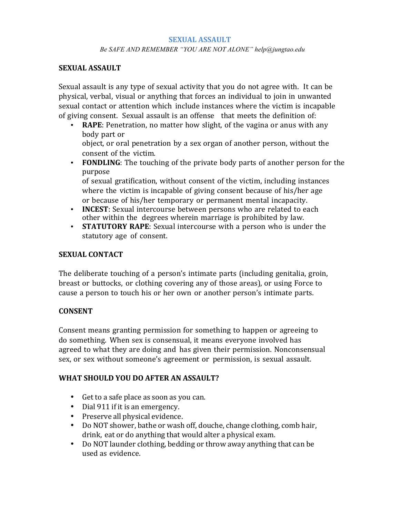#### **SEXUAL ASSAULT**

#### *Be SAFE AND REMEMBER "YOU ARE NOT ALONE" help@jungtao.edu*

#### **SEXUAL ASSAULT**

Sexual assault is any type of sexual activity that you do not agree with. It can be physical, verbal, visual or anything that forces an individual to join in unwanted sexual contact or attention which include instances where the victim is incapable of giving consent. Sexual assault is an offense that meets the definition of:

• **RAPE**: Penetration, no matter how slight, of the vagina or anus with any body part or

object, or oral penetration by a sex organ of another person, without the consent of the victim.

• **FONDLING**: The touching of the private body parts of another person for the purpose

of sexual gratification, without consent of the victim, including instances where the victim is incapable of giving consent because of his/her age or because of his/her temporary or permanent mental incapacity.

- **INCEST**: Sexual intercourse between persons who are related to each other within the degrees wherein marriage is prohibited by law.
- **STATUTORY RAPE**: Sexual intercourse with a person who is under the statutory age of consent.

#### **SEXUAL CONTACT**

The deliberate touching of a person's intimate parts (including genitalia, groin, breast or buttocks, or clothing covering any of those areas), or using Force to cause a person to touch his or her own or another person's intimate parts.

## **CONSENT**

Consent means granting permission for something to happen or agreeing to do something. When sex is consensual, it means everyone involved has agreed to what they are doing and has given their permission. Nonconsensual sex, or sex without someone's agreement or permission, is sexual assault.

## **WHAT SHOULD YOU DO AFTER AN ASSAULT?**

- Get to a safe place as soon as you can.
- Dial 911 if it is an emergency.
- Preserve all physical evidence.
- Do NOT shower, bathe or wash off, douche, change clothing, comb hair, drink, eat or do anything that would alter a physical exam.
- Do NOT launder clothing, bedding or throw away anything that can be used as evidence.